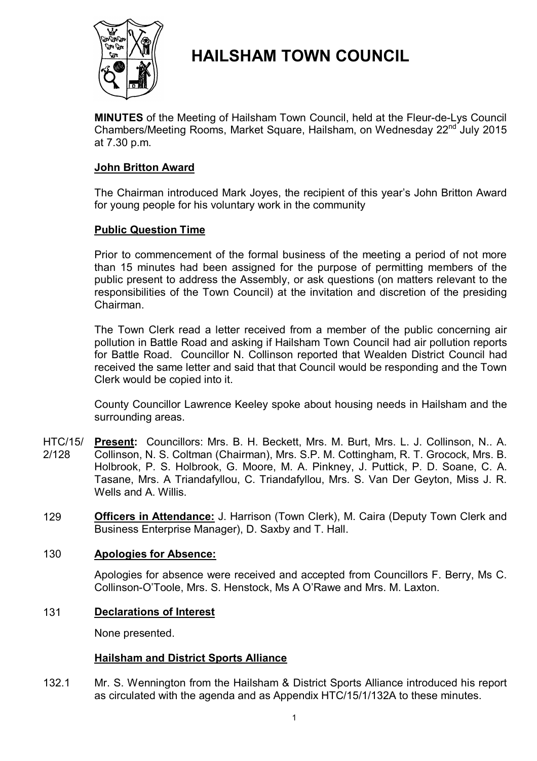

# **HAILSHAM TOWN COUNCIL**

**MINUTES** of the Meeting of Hailsham Town Council, held at the Fleur-de-Lys Council Chambers/Meeting Rooms, Market Square, Hailsham, on Wednesday 22<sup>nd</sup> July 2015 at 7.30 p.m.

# **John Britton Award**

The Chairman introduced Mark Joyes, the recipient of this year's John Britton Award for young people for his voluntary work in the community

# **Public Question Time**

Prior to commencement of the formal business of the meeting a period of not more than 15 minutes had been assigned for the purpose of permitting members of the public present to address the Assembly, or ask questions (on matters relevant to the responsibilities of the Town Council) at the invitation and discretion of the presiding Chairman.

The Town Clerk read a letter received from a member of the public concerning air pollution in Battle Road and asking if Hailsham Town Council had air pollution reports for Battle Road. Councillor N. Collinson reported that Wealden District Council had received the same letter and said that that Council would be responding and the Town Clerk would be copied into it.

County Councillor Lawrence Keeley spoke about housing needs in Hailsham and the surrounding areas.

- HTC/15/ 2/128 **Present:** Councillors: Mrs. B. H. Beckett, Mrs. M. Burt, Mrs. L. J. Collinson, N.. A. Collinson, N. S. Coltman (Chairman), Mrs. S.P. M. Cottingham, R. T. Grocock, Mrs. B. Holbrook, P. S. Holbrook, G. Moore, M. A. Pinkney, J. Puttick, P. D. Soane, C. A. Tasane, Mrs. A Triandafyllou, C. Triandafyllou, Mrs. S. Van Der Geyton, Miss J. R. Wells and A. Willis.
- 129 **Officers in Attendance:** J. Harrison (Town Clerk), M. Caira (Deputy Town Clerk and Business Enterprise Manager), D. Saxby and T. Hall.

# 130 **Apologies for Absence:**

Apologies for absence were received and accepted from Councillors F. Berry, Ms C. Collinson-O'Toole, Mrs. S. Henstock, Ms A O'Rawe and Mrs. M. Laxton.

# 131 **Declarations of Interest**

None presented.

# **Hailsham and District Sports Alliance**

132.1 Mr. S. Wennington from the Hailsham & District Sports Alliance introduced his report as circulated with the agenda and as Appendix HTC/15/1/132A to these minutes.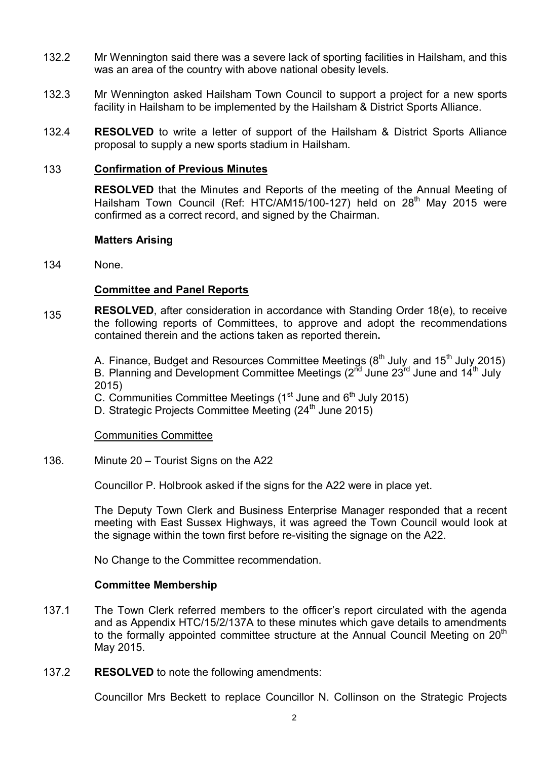- 132.2 Mr Wennington said there was a severe lack of sporting facilities in Hailsham, and this was an area of the country with above national obesity levels.
- 132.3 Mr Wennington asked Hailsham Town Council to support a project for a new sports facility in Hailsham to be implemented by the Hailsham & District Sports Alliance.
- 132.4 **RESOLVED** to write a letter of support of the Hailsham & District Sports Alliance proposal to supply a new sports stadium in Hailsham.

## 133 **Confirmation of Previous Minutes**

**RESOLVED** that the Minutes and Reports of the meeting of the Annual Meeting of Hailsham Town Council (Ref: HTC/AM15/100-127) held on 28<sup>th</sup> May 2015 were confirmed as a correct record, and signed by the Chairman.

#### **Matters Arising**

134 None.

## **Committee and Panel Reports**

135 **RESOLVED**, after consideration in accordance with Standing Order 18(e), to receive the following reports of Committees, to approve and adopt the recommendations contained therein and the actions taken as reported therein**.**

> A. Finance, Budget and Resources Committee Meetings (8<sup>th</sup> July and 15<sup>th</sup> July 2015) B. Planning and Development Committee Meetings (2<sup>nd</sup> June 23<sup>rd</sup> June and 14<sup>th</sup> July 2015)

C. Communities Committee Meetings ( $1<sup>st</sup>$  June and  $6<sup>th</sup>$  July 2015)

D. Strategic Projects Committee Meeting (24<sup>th</sup> June 2015)

## Communities Committee

136. Minute 20 – Tourist Signs on the A22

Councillor P. Holbrook asked if the signs for the A22 were in place yet.

The Deputy Town Clerk and Business Enterprise Manager responded that a recent meeting with East Sussex Highways, it was agreed the Town Council would look at the signage within the town first before re-visiting the signage on the A22.

No Change to the Committee recommendation.

## **Committee Membership**

- 137.1 The Town Clerk referred members to the officer's report circulated with the agenda and as Appendix HTC/15/2/137A to these minutes which gave details to amendments to the formally appointed committee structure at the Annual Council Meeting on 20<sup>th</sup> May 2015.
- 137.2 **RESOLVED** to note the following amendments:

Councillor Mrs Beckett to replace Councillor N. Collinson on the Strategic Projects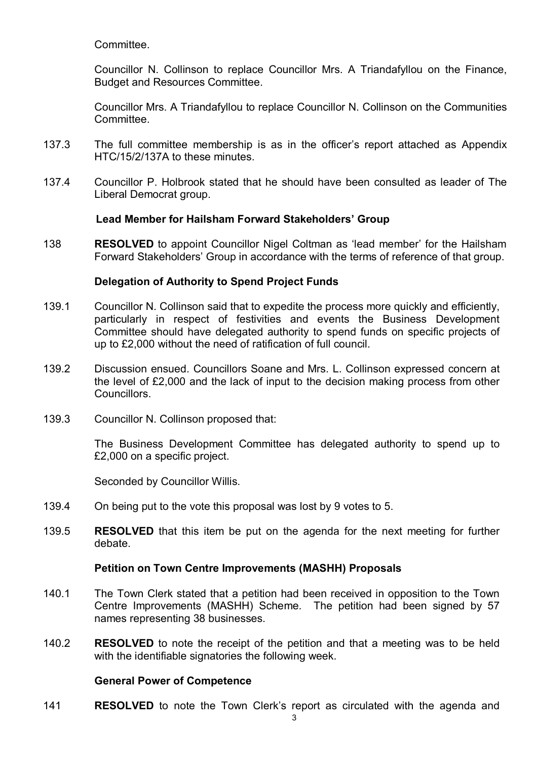Committee.

Councillor N. Collinson to replace Councillor Mrs. A Triandafyllou on the Finance, Budget and Resources Committee.

Councillor Mrs. A Triandafyllou to replace Councillor N. Collinson on the Communities **Committee.** 

- 137.3 The full committee membership is as in the officer's report attached as Appendix HTC/15/2/137A to these minutes.
- 137.4 Councillor P. Holbrook stated that he should have been consulted as leader of The Liberal Democrat group.

## **Lead Member for Hailsham Forward Stakeholders' Group**

138 **RESOLVED** to appoint Councillor Nigel Coltman as 'lead member' for the Hailsham Forward Stakeholders' Group in accordance with the terms of reference of that group.

# **Delegation of Authority to Spend Project Funds**

- 139.1 Councillor N. Collinson said that to expedite the process more quickly and efficiently, particularly in respect of festivities and events the Business Development Committee should have delegated authority to spend funds on specific projects of up to £2,000 without the need of ratification of full council.
- 139.2 Discussion ensued. Councillors Soane and Mrs. L. Collinson expressed concern at the level of £2,000 and the lack of input to the decision making process from other Councillors.
- 139.3 Councillor N. Collinson proposed that:

The Business Development Committee has delegated authority to spend up to £2,000 on a specific project.

Seconded by Councillor Willis.

- 139.4 On being put to the vote this proposal was lost by 9 votes to 5.
- 139.5 **RESOLVED** that this item be put on the agenda for the next meeting for further debate.

## **Petition on Town Centre Improvements (MASHH) Proposals**

- 140.1 The Town Clerk stated that a petition had been received in opposition to the Town Centre Improvements (MASHH) Scheme. The petition had been signed by 57 names representing 38 businesses.
- 140.2 **RESOLVED** to note the receipt of the petition and that a meeting was to be held with the identifiable signatories the following week.

# **General Power of Competence**

141 **RESOLVED** to note the Town Clerk's report as circulated with the agenda and